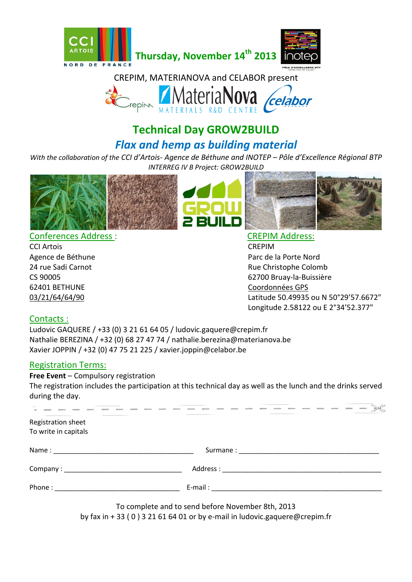



# **Technical Day GROW2BUILD** *Flax and hemp as building material*

*With the collaboration of the CCI d'Artois- Agence de Béthune and INOTEP – Pôle d'Excellence Régional BTP INTERREG IV B Project: GROW2BUILD*







Conferences Address : CREPIM Address:

CCI Artois CREPIM 62401 BETHUNE Coordonnées GPS

Agence de Béthune **Parc de la Porte Nord** Parc de la Porte Nord 24 rue Sadi Carnot **Rue Christophe Colomb** CS 90005 62700 Bruay-la-Buissière 03/21/64/64/90 Latitude 50.49935 ou N 50°29'57.6672" Longitude 2.58122 ou E 2°34'52.377"

## Contacts :

Ludovic GAQUERE / +33 (0) 3 21 61 64 05 / ludovic.gaquere@crepim.fr Nathalie BEREZINA / +32 (0) 68 27 47 74 / nathalie.berezina@materianova.be Xavier JOPPIN / +32 (0) 47 75 21 225 / xavier.joppin@celabor.be

## Registration Terms:

**Free Event** – Compulsory registration

The registration includes the participation at this technical day as well as the lunch and the drinks served during the day.

To complete and to send before November 8th, 2013 by fax in + 33 ( 0 ) 3 21 61 64 01 or by e-mail in ludovic.gaquere@crepim.fr